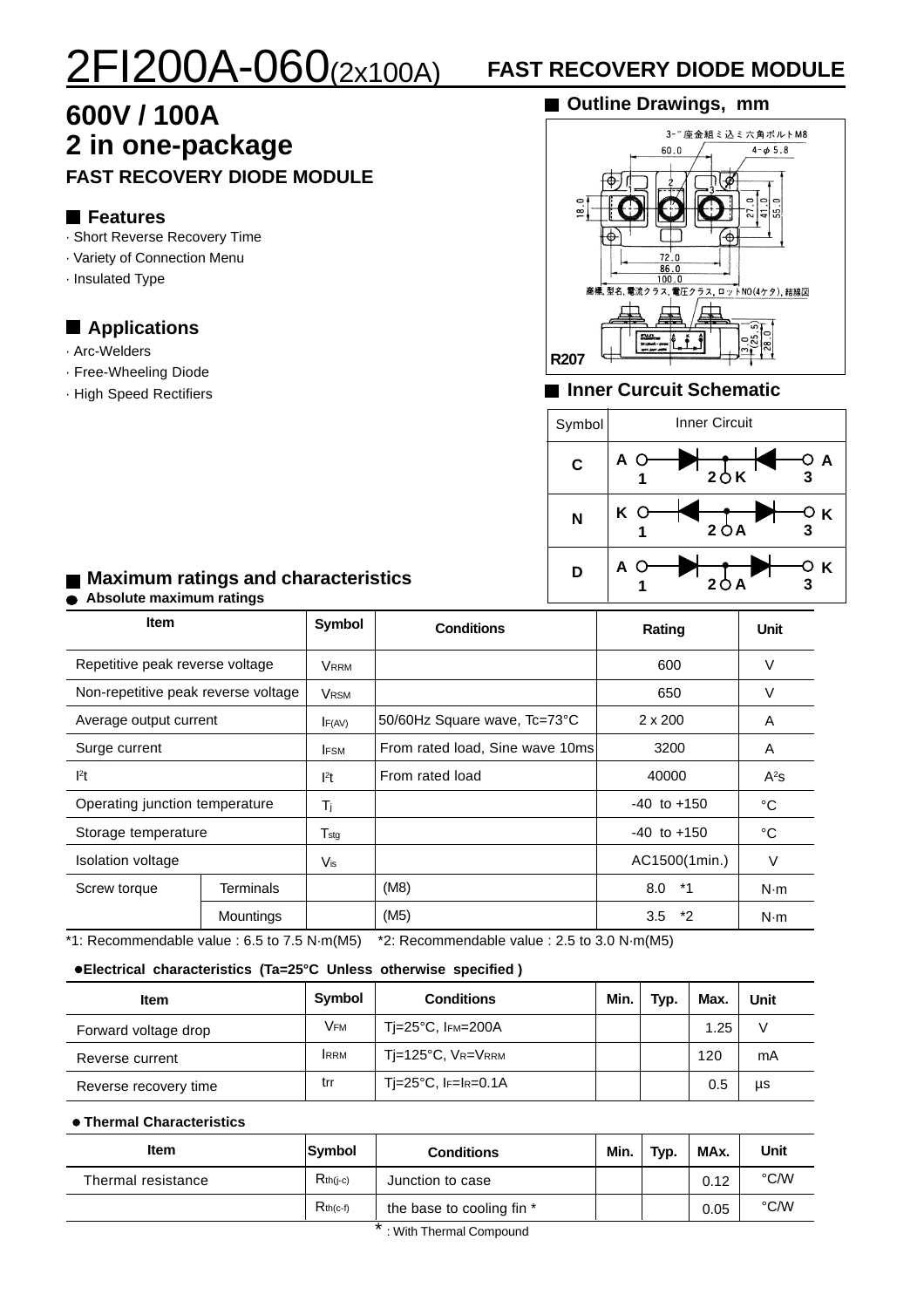# 2FI200A-060(2x100A) **FAST RECOVERY DIODE MODULE**

## **600V / 100A 2 in one-package FAST RECOVERY DIODE MODULE**

#### **Features**

- · Short Reverse Recovery Time
- · Variety of Connection Menu
- · Insulated Type

#### **Applications**

- · Arc-Welders
- · Free-Wheeling Diode
- · High Speed Rectifiers

#### **Outline Drawings, mm**



#### **Inner Curcuit Schematic**



#### **Maximum ratings and characteristics Absolute maximum ratings**

| <b>Item</b>                         |           | <b>Symbol</b>               | <b>Conditions</b>               | Rating          | Unit   |
|-------------------------------------|-----------|-----------------------------|---------------------------------|-----------------|--------|
| Repetitive peak reverse voltage     |           | Vrrm                        |                                 | 600             | $\vee$ |
| Non-repetitive peak reverse voltage |           | VRSM                        |                                 | 650             | V      |
| Average output current              |           | F(AV)                       | 50/60Hz Square wave, Tc=73°C    | $2 \times 200$  | A      |
| Surge current                       |           | <b>IFSM</b>                 | From rated load, Sine wave 10ms | 3200            | A      |
| 1 <sup>2</sup> t                    |           | $l^2t$                      | From rated load                 | 40000           | $A^2s$ |
| Operating junction temperature      |           | Τj                          |                                 | $-40$ to $+150$ | °C     |
| Storage temperature                 |           | $\mathsf{T}_{\textsf{stg}}$ |                                 | $-40$ to $+150$ | °C     |
| Isolation voltage                   |           | Vis                         |                                 | AC1500(1min.)   | $\vee$ |
| Screw torque                        | Terminals |                             | (M8)                            | 8.0<br>*1       | N·m    |
|                                     | Mountings |                             | (M5)                            | *2<br>3.5       | N·m    |

\*1: Recommendable value : 6.5 to 7.5 N·m(M5) \*2: Recommendable value : 2.5 to 3.0 N·m(M5)

#### **Electrical characteristics (Ta=25°C Unless otherwise specified )**

| <b>Item</b>           | Symbol      | <b>Conditions</b>           | Min. | Typ. | Max. | Unit |
|-----------------------|-------------|-----------------------------|------|------|------|------|
| Forward voltage drop  | <b>VFM</b>  | $Ti=25^{\circ}C$ , IFM=200A |      |      | 1.25 | V    |
| Reverse current       | <b>IRRM</b> | Тј=125°С, Vr=Vrrм           |      |      | 120  | mA   |
| Reverse recovery time | trr         | Tj=25°C, IF=IR=0.1A         |      |      | 0.5  | μs   |

#### **Thermal Characteristics**

| Item               | Symbol        | <b>Conditions</b>         | Min. | Typ. | MAx. | Unit |
|--------------------|---------------|---------------------------|------|------|------|------|
| Thermal resistance | $R_{th(i-c)}$ | Junction to case          |      |      | 0.12 | °C/W |
|                    | $R_{th(c-f)}$ | the base to cooling fin * |      |      | 0.05 | °C/W |

\* : With Thermal Compound